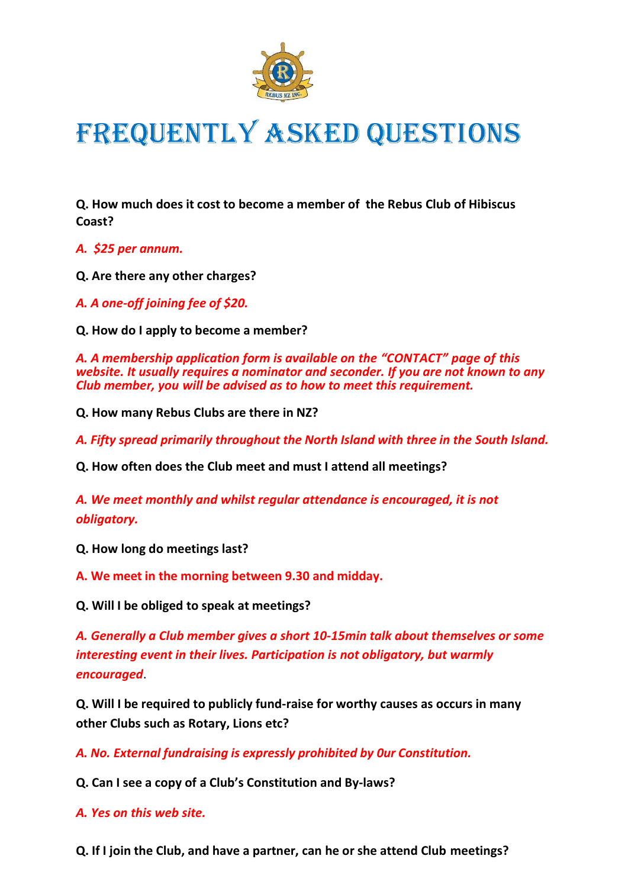

## FREQUENTLY ASKED QUESTIONS

**Q. How much does it cost to become a member of the Rebus Club of Hibiscus Coast?**

*A. \$25 per annum.*

**Q. Are there any other charges?**

*A. A one-off joining fee of \$20.*

**Q. How do I apply to become a member?**

*A. A membership application form is available on the "CONTACT" page of this website. It usually requires a nominator and seconder. If you are not known to any Club member, you will be advised as to how to meet this requirement.*

**Q. How many Rebus Clubs are there in NZ?**

*A. Fifty spread primarily throughout the North Island with three in the South Island.*

**Q. How often does the Club meet and must I attend all meetings?**

*A. We meet monthly and whilst regular attendance is encouraged, it is not obligatory.*

**Q. How long do meetings last?**

**A. We meet in the morning between 9.30 and midday.**

**Q. Will I be obliged to speak at meetings?**

*A. Generally a Club member gives a short 10-15min talk about themselves or some interesting event in their lives. Participation is not obligatory, but warmly encouraged*.

**Q. Will I be required to publicly fund-raise for worthy causes as occurs in many other Clubs such as Rotary, Lions etc?**

*A. No. External fundraising is expressly prohibited by 0ur Constitution.*

**Q. Can I see a copy of a Club's Constitution and By-laws?**

*A. Yes on this web site.*

**Q. If I join the Club, and have a partner, can he or she attend Club meetings?**